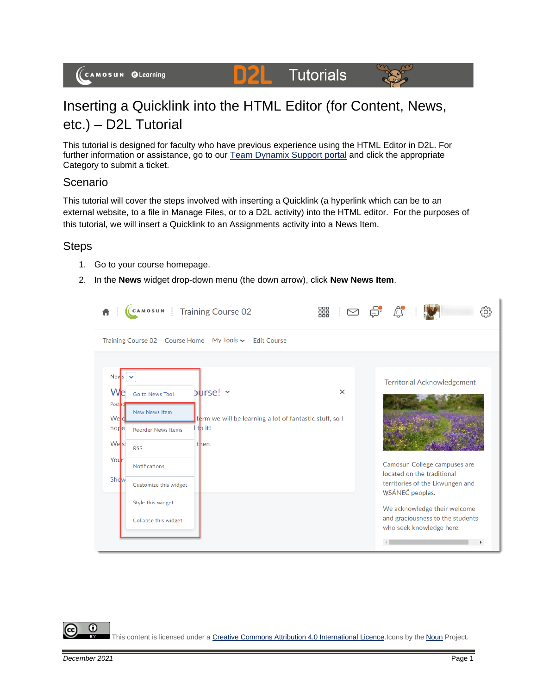#### **Tutorials** DZL



# Inserting a Quicklink into the HTML Editor (for Content, News, etc.) – D2L Tutorial

This tutorial is designed for faculty who have previous experience using the HTML Editor in D2L. For further information or assistance, go to our **Team Dynamix Support portal** and click the appropriate Category to submit a ticket.

## Scenario

This tutorial will cover the steps involved with inserting a Quicklink (a hyperlink which can be to an external website, to a file in Manage Files, or to a D2L activity) into the HTML editor. For the purposes of this tutorial, we will insert a Quicklink to an Assignments activity into a News Item.

## **Steps**

- 1. Go to your course homepage.
- 2. In the **News** widget drop-down menu (the down arrow), click **New News Item**.

|                                                                                                               | CAMOSUN                                                                                                                                                                          | <b>Training Course 02</b>                                                               | 888  <br>⊠ |                 |                                                                                                                                                                                                                                     |  |
|---------------------------------------------------------------------------------------------------------------|----------------------------------------------------------------------------------------------------------------------------------------------------------------------------------|-----------------------------------------------------------------------------------------|------------|-----------------|-------------------------------------------------------------------------------------------------------------------------------------------------------------------------------------------------------------------------------------|--|
|                                                                                                               | Training Course 02 Course Home                                                                                                                                                   | My Tools v Edit Course                                                                  |            |                 |                                                                                                                                                                                                                                     |  |
| <b>Nev</b> <sub>s</sub><br><b>We</b><br>Post <sub>2</sub><br>Weld<br>hope<br>We <sup>st</sup><br>Your<br>Show | <b>Go to News Tool</b><br>New News Item<br><b>Reorder News Items</b><br><b>RSS</b><br><b>Notifications</b><br>Customize this widget<br>Style this widget<br>Collapse this widget | $\square$<br>term we will be learning a lot of fantastic stuff, so I<br>tb it!<br>then. | $\times$   | WSÁNEC peoples. | <b>Territorial Acknowledgement</b><br>Camosun College campuses are<br>located on the traditional<br>territories of the Lkwungen and<br>We acknowledge their welcome<br>and graciousness to the students<br>who seek knowledge here. |  |

Œ This content is licensed under [a Creative Commons Attribution 4.0 International Licence.I](https://creativecommons.org/licenses/by/4.0/)cons by the [Noun](https://creativecommons.org/website-icons/) Project.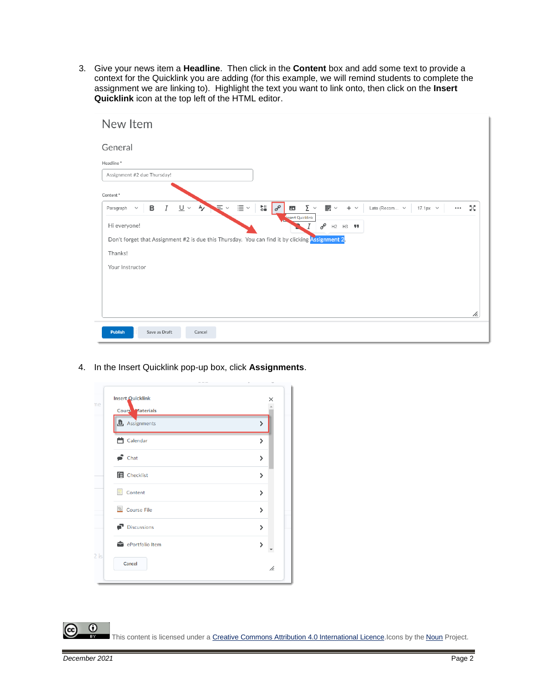3. Give your news item a **Headline**. Then click in the **Content** box and add some text to provide a context for the Quicklink you are adding (for this example, we will remind students to complete the assignment we are linking to). Highlight the text you want to link onto, then click on the **Insert Quicklink** icon at the top left of the HTML editor.

| New Item                                                                                                                |                                                                                                                                                                                      |
|-------------------------------------------------------------------------------------------------------------------------|--------------------------------------------------------------------------------------------------------------------------------------------------------------------------------------|
| General                                                                                                                 |                                                                                                                                                                                      |
| Headline*                                                                                                               |                                                                                                                                                                                      |
| Assignment #2 due Thursday!                                                                                             |                                                                                                                                                                                      |
| Content*                                                                                                                |                                                                                                                                                                                      |
| $\equiv$ $\sim$<br>$\mathbf{u} \equiv \mathbf{v}$<br>$U \times A$<br>B<br>$\boldsymbol{I}$<br>Paragraph<br>$\checkmark$ | $_{\circ}^{\bullet}$ !!<br>$\sigma^{\!\mathcal{O}}$<br>$\Sigma$ $\sim$<br>翻▽<br>ŞŞ,<br>Lato (Recom v<br>$\mathbf{K}$<br>$+$ $\vee$<br>$17.1px \sim$<br>$\bullet$ $\bullet$ $\bullet$ |
| Hi everyone!                                                                                                            | <b>Insert Quicklink</b><br>$\mathcal{O}^{\mathcal{O}}$<br>H2 H3 99                                                                                                                   |
| Don't forget that Assignment #2 is due this Thursday. You can find it by clicking Assignment 2.                         |                                                                                                                                                                                      |
| Thanks!                                                                                                                 |                                                                                                                                                                                      |
| Your Instructor                                                                                                         |                                                                                                                                                                                      |
|                                                                                                                         |                                                                                                                                                                                      |
|                                                                                                                         |                                                                                                                                                                                      |
|                                                                                                                         |                                                                                                                                                                                      |
|                                                                                                                         | h.                                                                                                                                                                                   |
| <b>Publish</b><br>Save as Draft<br>Cancel                                                                               |                                                                                                                                                                                      |

4. In the Insert Quicklink pop-up box, click **Assignments**.

| Cours Materials            |                        |
|----------------------------|------------------------|
|                            |                        |
| <b>B</b> Assignments       | $\mathbf{\mathcal{P}}$ |
| <b>兰</b> Calendar          | $\mathcal{E}$          |
| $\bullet$ Chat             | $\mathbf{\Sigma}$      |
| <b>E</b> Checklist         | $\mathcal{P}$          |
| $\blacksquare$ Content     | $\mathbf{\mathcal{E}}$ |
| Course File                | $\mathbf{\Sigma}$      |
| $\blacksquare$ Discussions | $\mathbf{\Sigma}$      |
| ePortfolio Item            | $\mathcal{P}$          |
| Cancel                     |                        |

This content is licensed under [a Creative Commons Attribution 4.0 International Licence.I](https://creativecommons.org/licenses/by/4.0/)cons by the [Noun](https://creativecommons.org/website-icons/) Project.

 $\Omega$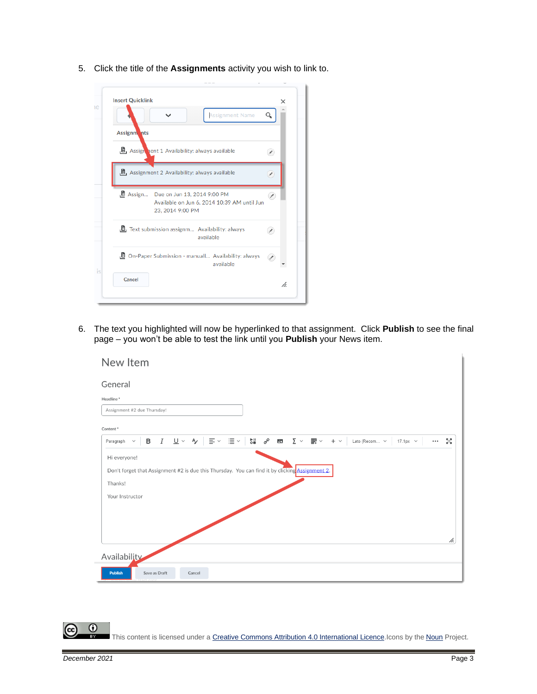5. Click the title of the **Assignments** activity you wish to link to.

|             | <b>Assignment Name</b>                                                                                         | Q  |
|-------------|----------------------------------------------------------------------------------------------------------------|----|
| Assignm nts |                                                                                                                |    |
|             | B Assign pent 1 Availability: always available                                                                 |    |
|             | $B1$ Assignment 2 Availability: always available                                                               |    |
|             | <b>B</b> Assign Due on Jun 13, 2014 9:00 PM<br>Available on Jun 6, 2014 10:39 AM until Jun<br>23, 2014 9:00 PM | ×  |
|             | <b>B</b> Text submission assignm Availability: always<br>available                                             | ¥. |
|             | D On-Paper Submission - manuall Availability: always<br>available                                              | ×  |

6. The text you highlighted will now be hyperlinked to that assignment. Click **Publish** to see the final page – you won't be able to test the link until you **Publish** your News item.

| New Item                                                                                                                                                                                |    |
|-----------------------------------------------------------------------------------------------------------------------------------------------------------------------------------------|----|
| General                                                                                                                                                                                 |    |
| Headline*                                                                                                                                                                               |    |
| Assignment #2 due Thursday!                                                                                                                                                             |    |
| Content*                                                                                                                                                                                |    |
| $I \cup \vee \wedge$<br>三国 三国 一<br>$rac{\mathbf{r}}{\mathbf{r}}$ of<br>∑▽<br>в<br>$\mathbf{K}$<br>$+$ $\vee$<br>Lato (Recom v<br>$17.1px \sim$<br>Paragraph<br>$\checkmark$<br>$\cdots$ | 5g |
| Hi everyone!                                                                                                                                                                            |    |
| Don't forget that Assignment #2 is due this Thursday. You can find it by clicking Assignment 2.                                                                                         |    |
| Thanks!                                                                                                                                                                                 |    |
| Your Instructor                                                                                                                                                                         |    |
|                                                                                                                                                                                         |    |
|                                                                                                                                                                                         |    |
|                                                                                                                                                                                         | h. |
| Availability                                                                                                                                                                            |    |
| <b>Publish</b><br>Save as Draft<br>Cancel                                                                                                                                               |    |

This content is licensed under [a Creative Commons Attribution 4.0 International Licence.I](https://creativecommons.org/licenses/by/4.0/)cons by the [Noun](https://creativecommons.org/website-icons/) Project.

 $\overline{0}$ 

(cc